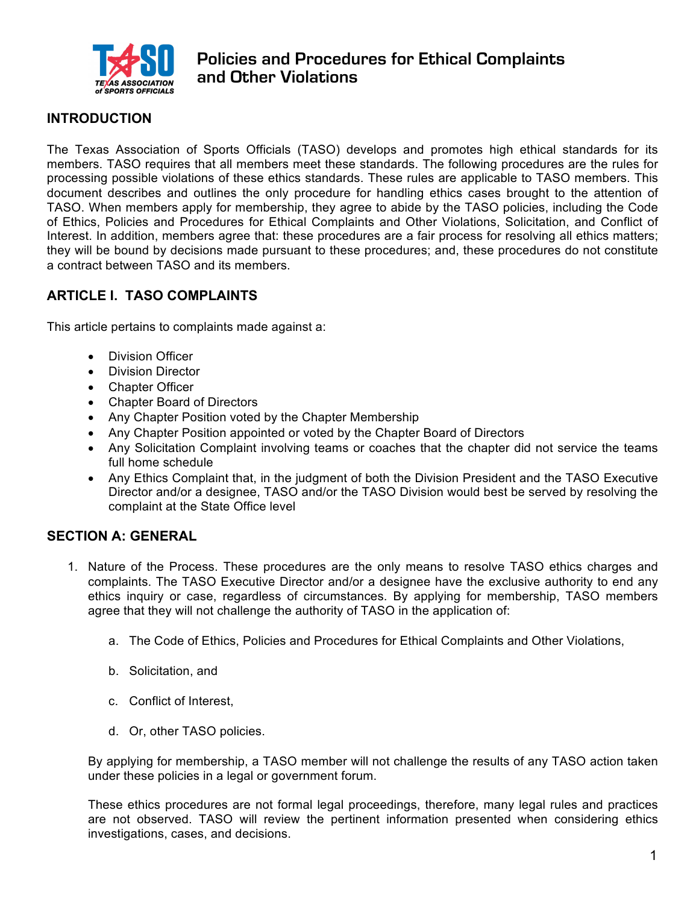

# **INTRODUCTION**

The Texas Association of Sports Officials (TASO) develops and promotes high ethical standards for its members. TASO requires that all members meet these standards. The following procedures are the rules for processing possible violations of these ethics standards. These rules are applicable to TASO members. This document describes and outlines the only procedure for handling ethics cases brought to the attention of TASO. When members apply for membership, they agree to abide by the TASO policies, including the Code of Ethics, Policies and Procedures for Ethical Complaints and Other Violations, Solicitation, and Conflict of Interest. In addition, members agree that: these procedures are a fair process for resolving all ethics matters; they will be bound by decisions made pursuant to these procedures; and, these procedures do not constitute a contract between TASO and its members.

# **ARTICLE I. TASO COMPLAINTS**

This article pertains to complaints made against a:

- Division Officer
- Division Director
- Chapter Officer
- Chapter Board of Directors
- Any Chapter Position voted by the Chapter Membership
- Any Chapter Position appointed or voted by the Chapter Board of Directors
- Any Solicitation Complaint involving teams or coaches that the chapter did not service the teams full home schedule
- Any Ethics Complaint that, in the judgment of both the Division President and the TASO Executive Director and/or a designee, TASO and/or the TASO Division would best be served by resolving the complaint at the State Office level

### **SECTION A: GENERAL**

- 1. Nature of the Process. These procedures are the only means to resolve TASO ethics charges and complaints. The TASO Executive Director and/or a designee have the exclusive authority to end any ethics inquiry or case, regardless of circumstances. By applying for membership, TASO members agree that they will not challenge the authority of TASO in the application of:
	- a. The Code of Ethics, Policies and Procedures for Ethical Complaints and Other Violations,
	- b. Solicitation, and
	- c. Conflict of Interest,
	- d. Or, other TASO policies.

By applying for membership, a TASO member will not challenge the results of any TASO action taken under these policies in a legal or government forum.

These ethics procedures are not formal legal proceedings, therefore, many legal rules and practices are not observed. TASO will review the pertinent information presented when considering ethics investigations, cases, and decisions.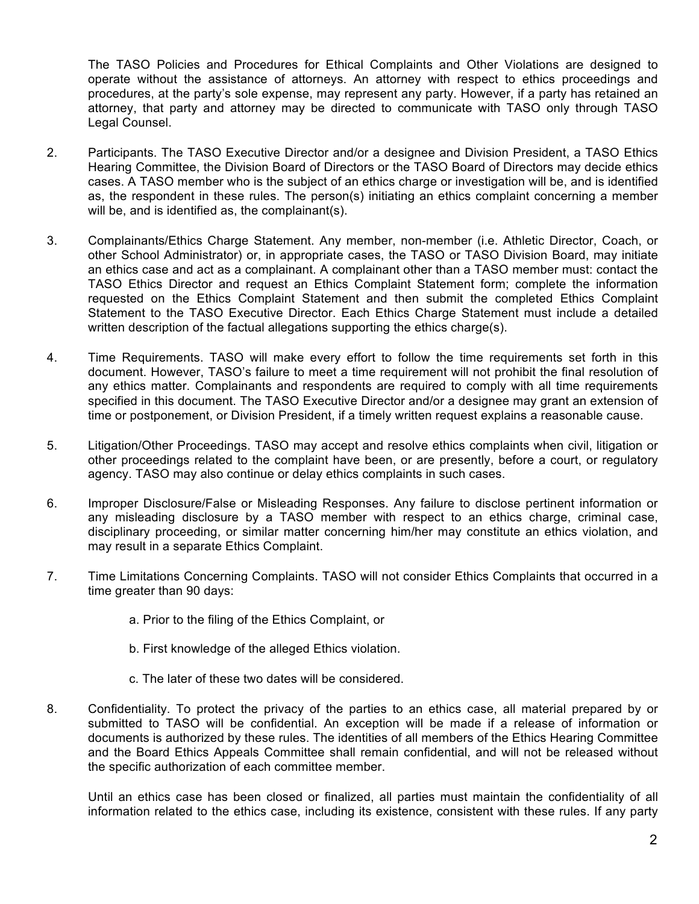The TASO Policies and Procedures for Ethical Complaints and Other Violations are designed to operate without the assistance of attorneys. An attorney with respect to ethics proceedings and procedures, at the party's sole expense, may represent any party. However, if a party has retained an attorney, that party and attorney may be directed to communicate with TASO only through TASO Legal Counsel.

- 2. Participants. The TASO Executive Director and/or a designee and Division President, a TASO Ethics Hearing Committee, the Division Board of Directors or the TASO Board of Directors may decide ethics cases. A TASO member who is the subject of an ethics charge or investigation will be, and is identified as, the respondent in these rules. The person(s) initiating an ethics complaint concerning a member will be, and is identified as, the complainant(s).
- 3. Complainants/Ethics Charge Statement. Any member, non-member (i.e. Athletic Director, Coach, or other School Administrator) or, in appropriate cases, the TASO or TASO Division Board, may initiate an ethics case and act as a complainant. A complainant other than a TASO member must: contact the TASO Ethics Director and request an Ethics Complaint Statement form; complete the information requested on the Ethics Complaint Statement and then submit the completed Ethics Complaint Statement to the TASO Executive Director. Each Ethics Charge Statement must include a detailed written description of the factual allegations supporting the ethics charge(s).
- 4. Time Requirements. TASO will make every effort to follow the time requirements set forth in this document. However, TASO's failure to meet a time requirement will not prohibit the final resolution of any ethics matter. Complainants and respondents are required to comply with all time requirements specified in this document. The TASO Executive Director and/or a designee may grant an extension of time or postponement, or Division President, if a timely written request explains a reasonable cause.
- 5. Litigation/Other Proceedings. TASO may accept and resolve ethics complaints when civil, litigation or other proceedings related to the complaint have been, or are presently, before a court, or regulatory agency. TASO may also continue or delay ethics complaints in such cases.
- 6. Improper Disclosure/False or Misleading Responses. Any failure to disclose pertinent information or any misleading disclosure by a TASO member with respect to an ethics charge, criminal case, disciplinary proceeding, or similar matter concerning him/her may constitute an ethics violation, and may result in a separate Ethics Complaint.
- 7. Time Limitations Concerning Complaints. TASO will not consider Ethics Complaints that occurred in a time greater than 90 days:
	- a. Prior to the filing of the Ethics Complaint, or
	- b. First knowledge of the alleged Ethics violation.
	- c. The later of these two dates will be considered.
- 8. Confidentiality. To protect the privacy of the parties to an ethics case, all material prepared by or submitted to TASO will be confidential. An exception will be made if a release of information or documents is authorized by these rules. The identities of all members of the Ethics Hearing Committee and the Board Ethics Appeals Committee shall remain confidential, and will not be released without the specific authorization of each committee member.

Until an ethics case has been closed or finalized, all parties must maintain the confidentiality of all information related to the ethics case, including its existence, consistent with these rules. If any party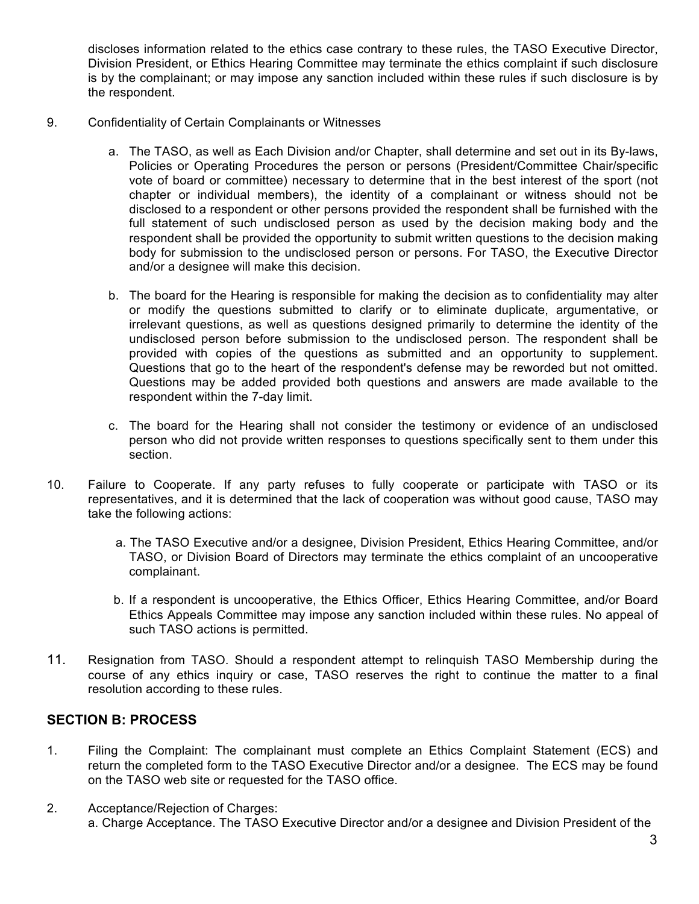discloses information related to the ethics case contrary to these rules, the TASO Executive Director, Division President, or Ethics Hearing Committee may terminate the ethics complaint if such disclosure is by the complainant; or may impose any sanction included within these rules if such disclosure is by the respondent.

- 9. Confidentiality of Certain Complainants or Witnesses
	- a. The TASO, as well as Each Division and/or Chapter, shall determine and set out in its By-laws, Policies or Operating Procedures the person or persons (President/Committee Chair/specific vote of board or committee) necessary to determine that in the best interest of the sport (not chapter or individual members), the identity of a complainant or witness should not be disclosed to a respondent or other persons provided the respondent shall be furnished with the full statement of such undisclosed person as used by the decision making body and the respondent shall be provided the opportunity to submit written questions to the decision making body for submission to the undisclosed person or persons. For TASO, the Executive Director and/or a designee will make this decision.
	- b. The board for the Hearing is responsible for making the decision as to confidentiality may alter or modify the questions submitted to clarify or to eliminate duplicate, argumentative, or irrelevant questions, as well as questions designed primarily to determine the identity of the undisclosed person before submission to the undisclosed person. The respondent shall be provided with copies of the questions as submitted and an opportunity to supplement. Questions that go to the heart of the respondent's defense may be reworded but not omitted. Questions may be added provided both questions and answers are made available to the respondent within the 7-day limit.
	- c. The board for the Hearing shall not consider the testimony or evidence of an undisclosed person who did not provide written responses to questions specifically sent to them under this section.
- 10. Failure to Cooperate. If any party refuses to fully cooperate or participate with TASO or its representatives, and it is determined that the lack of cooperation was without good cause, TASO may take the following actions:
	- a. The TASO Executive and/or a designee, Division President, Ethics Hearing Committee, and/or TASO, or Division Board of Directors may terminate the ethics complaint of an uncooperative complainant.
	- b. If a respondent is uncooperative, the Ethics Officer, Ethics Hearing Committee, and/or Board Ethics Appeals Committee may impose any sanction included within these rules. No appeal of such TASO actions is permitted.
- 11. Resignation from TASO. Should a respondent attempt to relinquish TASO Membership during the course of any ethics inquiry or case, TASO reserves the right to continue the matter to a final resolution according to these rules.

### **SECTION B: PROCESS**

- 1. Filing the Complaint: The complainant must complete an Ethics Complaint Statement (ECS) and return the completed form to the TASO Executive Director and/or a designee. The ECS may be found on the TASO web site or requested for the TASO office.
- 2. Acceptance/Rejection of Charges: a. Charge Acceptance. The TASO Executive Director and/or a designee and Division President of the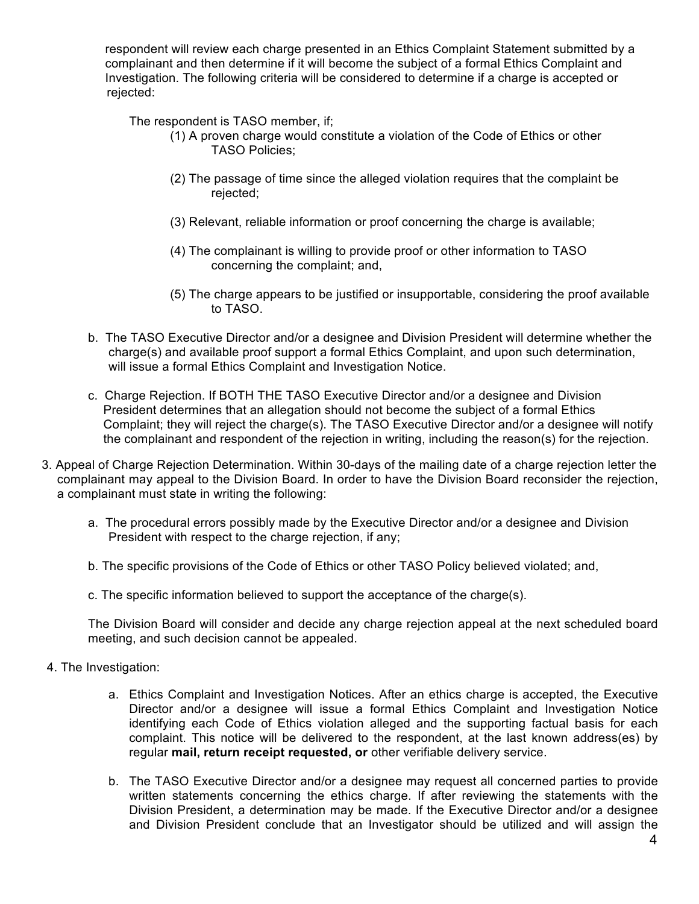respondent will review each charge presented in an Ethics Complaint Statement submitted by a complainant and then determine if it will become the subject of a formal Ethics Complaint and Investigation. The following criteria will be considered to determine if a charge is accepted or rejected:

The respondent is TASO member, if;

- (1) A proven charge would constitute a violation of the Code of Ethics or other TASO Policies;
- (2) The passage of time since the alleged violation requires that the complaint be rejected;
- (3) Relevant, reliable information or proof concerning the charge is available;
- (4) The complainant is willing to provide proof or other information to TASO concerning the complaint; and,
- (5) The charge appears to be justified or insupportable, considering the proof available to TASO.
- b. The TASO Executive Director and/or a designee and Division President will determine whether the charge(s) and available proof support a formal Ethics Complaint, and upon such determination, will issue a formal Ethics Complaint and Investigation Notice.
- c. Charge Rejection. If BOTH THE TASO Executive Director and/or a designee and Division President determines that an allegation should not become the subject of a formal Ethics Complaint; they will reject the charge(s). The TASO Executive Director and/or a designee will notify the complainant and respondent of the rejection in writing, including the reason(s) for the rejection.
- 3. Appeal of Charge Rejection Determination. Within 30-days of the mailing date of a charge rejection letter the complainant may appeal to the Division Board. In order to have the Division Board reconsider the rejection, a complainant must state in writing the following:
	- a. The procedural errors possibly made by the Executive Director and/or a designee and Division President with respect to the charge rejection, if any;
	- b. The specific provisions of the Code of Ethics or other TASO Policy believed violated; and,
	- c. The specific information believed to support the acceptance of the charge(s).

The Division Board will consider and decide any charge rejection appeal at the next scheduled board meeting, and such decision cannot be appealed.

- 4. The Investigation:
	- a. Ethics Complaint and Investigation Notices. After an ethics charge is accepted, the Executive Director and/or a designee will issue a formal Ethics Complaint and Investigation Notice identifying each Code of Ethics violation alleged and the supporting factual basis for each complaint. This notice will be delivered to the respondent, at the last known address(es) by regular **mail, return receipt requested, or** other verifiable delivery service.
	- b. The TASO Executive Director and/or a designee may request all concerned parties to provide written statements concerning the ethics charge. If after reviewing the statements with the Division President, a determination may be made. If the Executive Director and/or a designee and Division President conclude that an Investigator should be utilized and will assign the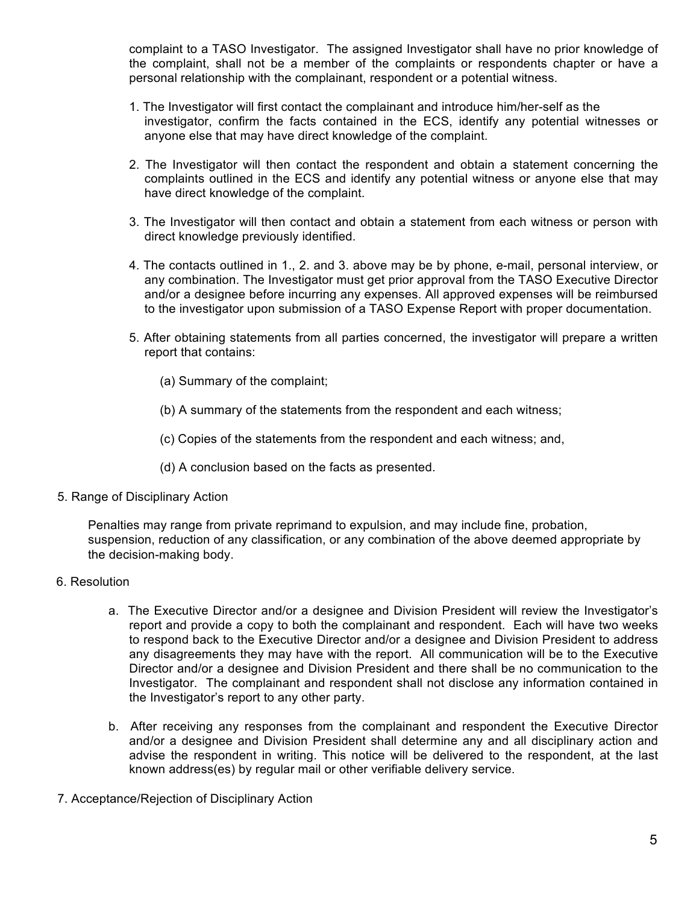complaint to a TASO Investigator. The assigned Investigator shall have no prior knowledge of the complaint, shall not be a member of the complaints or respondents chapter or have a personal relationship with the complainant, respondent or a potential witness.

- 1. The Investigator will first contact the complainant and introduce him/her-self as the investigator, confirm the facts contained in the ECS, identify any potential witnesses or anyone else that may have direct knowledge of the complaint.
- 2. The Investigator will then contact the respondent and obtain a statement concerning the complaints outlined in the ECS and identify any potential witness or anyone else that may have direct knowledge of the complaint.
- 3. The Investigator will then contact and obtain a statement from each witness or person with direct knowledge previously identified.
- 4. The contacts outlined in 1., 2. and 3. above may be by phone, e-mail, personal interview, or any combination. The Investigator must get prior approval from the TASO Executive Director and/or a designee before incurring any expenses. All approved expenses will be reimbursed to the investigator upon submission of a TASO Expense Report with proper documentation.
- 5. After obtaining statements from all parties concerned, the investigator will prepare a written report that contains:
	- (a) Summary of the complaint;
	- (b) A summary of the statements from the respondent and each witness;
	- (c) Copies of the statements from the respondent and each witness; and,
	- (d) A conclusion based on the facts as presented.
- 5. Range of Disciplinary Action

Penalties may range from private reprimand to expulsion, and may include fine, probation, suspension, reduction of any classification, or any combination of the above deemed appropriate by the decision-making body.

- 6. Resolution
	- a. The Executive Director and/or a designee and Division President will review the Investigator's report and provide a copy to both the complainant and respondent. Each will have two weeks to respond back to the Executive Director and/or a designee and Division President to address any disagreements they may have with the report. All communication will be to the Executive Director and/or a designee and Division President and there shall be no communication to the Investigator. The complainant and respondent shall not disclose any information contained in the Investigator's report to any other party.
	- b. After receiving any responses from the complainant and respondent the Executive Director and/or a designee and Division President shall determine any and all disciplinary action and advise the respondent in writing. This notice will be delivered to the respondent, at the last known address(es) by regular mail or other verifiable delivery service.
- 7. Acceptance/Rejection of Disciplinary Action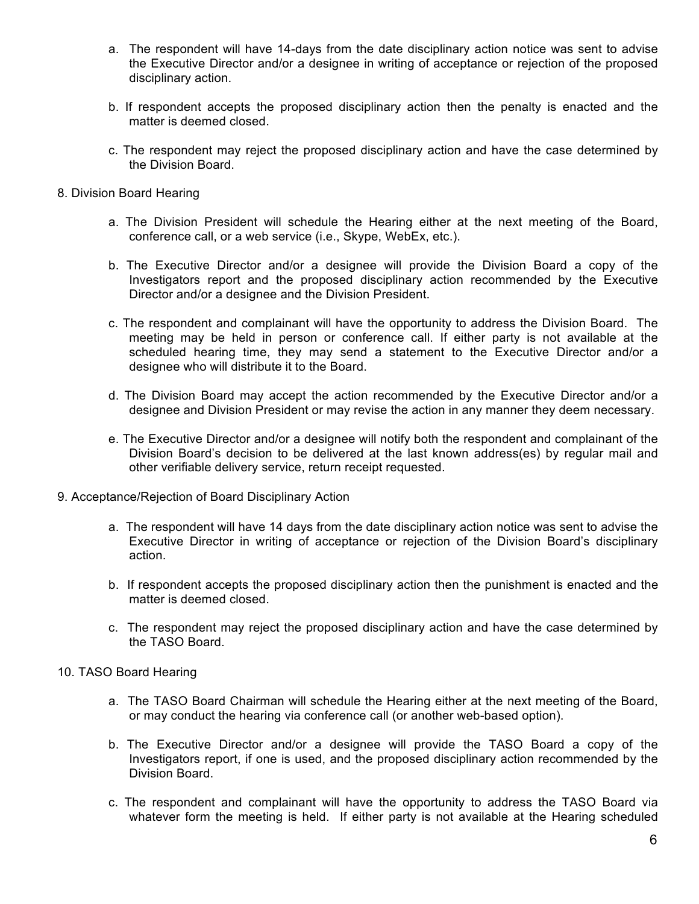- a. The respondent will have 14-days from the date disciplinary action notice was sent to advise the Executive Director and/or a designee in writing of acceptance or rejection of the proposed disciplinary action.
- b. If respondent accepts the proposed disciplinary action then the penalty is enacted and the matter is deemed closed.
- c. The respondent may reject the proposed disciplinary action and have the case determined by the Division Board.
- 8. Division Board Hearing
	- a. The Division President will schedule the Hearing either at the next meeting of the Board, conference call, or a web service (i.e., Skype, WebEx, etc.).
	- b. The Executive Director and/or a designee will provide the Division Board a copy of the Investigators report and the proposed disciplinary action recommended by the Executive Director and/or a designee and the Division President.
	- c. The respondent and complainant will have the opportunity to address the Division Board. The meeting may be held in person or conference call. If either party is not available at the scheduled hearing time, they may send a statement to the Executive Director and/or a designee who will distribute it to the Board.
	- d. The Division Board may accept the action recommended by the Executive Director and/or a designee and Division President or may revise the action in any manner they deem necessary.
	- e. The Executive Director and/or a designee will notify both the respondent and complainant of the Division Board's decision to be delivered at the last known address(es) by regular mail and other verifiable delivery service, return receipt requested.
- 9. Acceptance/Rejection of Board Disciplinary Action
	- a. The respondent will have 14 days from the date disciplinary action notice was sent to advise the Executive Director in writing of acceptance or rejection of the Division Board's disciplinary action.
	- b. If respondent accepts the proposed disciplinary action then the punishment is enacted and the matter is deemed closed.
	- c. The respondent may reject the proposed disciplinary action and have the case determined by the TASO Board.
- 10. TASO Board Hearing
	- a. The TASO Board Chairman will schedule the Hearing either at the next meeting of the Board, or may conduct the hearing via conference call (or another web-based option).
	- b. The Executive Director and/or a designee will provide the TASO Board a copy of the Investigators report, if one is used, and the proposed disciplinary action recommended by the Division Board.
	- c. The respondent and complainant will have the opportunity to address the TASO Board via whatever form the meeting is held. If either party is not available at the Hearing scheduled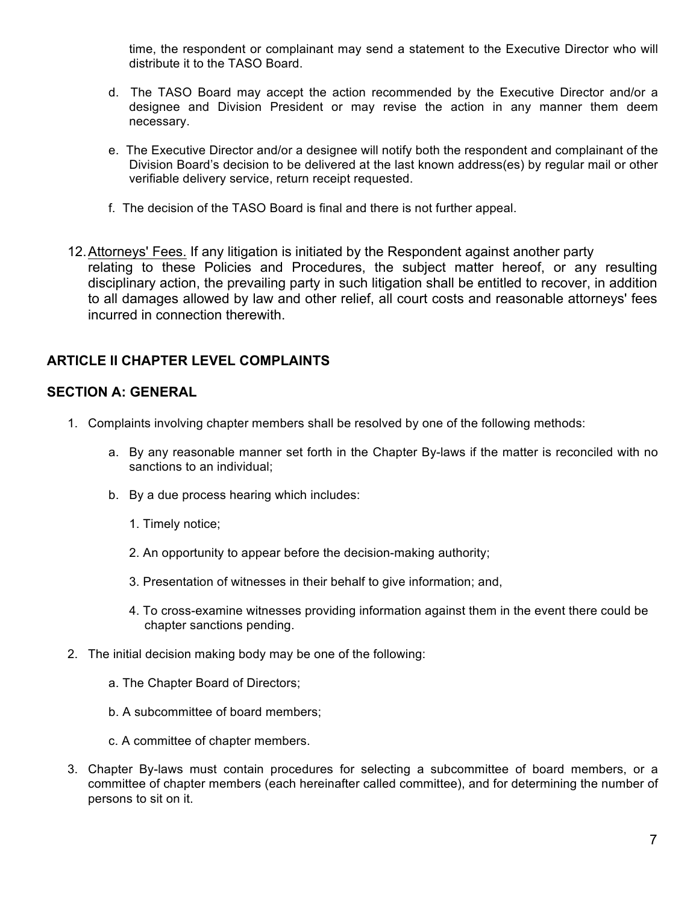time, the respondent or complainant may send a statement to the Executive Director who will distribute it to the TASO Board.

- d. The TASO Board may accept the action recommended by the Executive Director and/or a designee and Division President or may revise the action in any manner them deem necessary.
- e. The Executive Director and/or a designee will notify both the respondent and complainant of the Division Board's decision to be delivered at the last known address(es) by regular mail or other verifiable delivery service, return receipt requested.
- f. The decision of the TASO Board is final and there is not further appeal.
- 12.Attorneys' Fees. If any litigation is initiated by the Respondent against another party relating to these Policies and Procedures, the subject matter hereof, or any resulting disciplinary action, the prevailing party in such litigation shall be entitled to recover, in addition to all damages allowed by law and other relief, all court costs and reasonable attorneys' fees incurred in connection therewith.

### **ARTICLE II CHAPTER LEVEL COMPLAINTS**

### **SECTION A: GENERAL**

- 1. Complaints involving chapter members shall be resolved by one of the following methods:
	- a. By any reasonable manner set forth in the Chapter By-laws if the matter is reconciled with no sanctions to an individual;
	- b. By a due process hearing which includes:
		- 1. Timely notice;
		- 2. An opportunity to appear before the decision-making authority;
		- 3. Presentation of witnesses in their behalf to give information; and,
		- 4. To cross-examine witnesses providing information against them in the event there could be chapter sanctions pending.
- 2. The initial decision making body may be one of the following:
	- a. The Chapter Board of Directors;
	- b. A subcommittee of board members;
	- c. A committee of chapter members.
- 3. Chapter By-laws must contain procedures for selecting a subcommittee of board members, or a committee of chapter members (each hereinafter called committee), and for determining the number of persons to sit on it.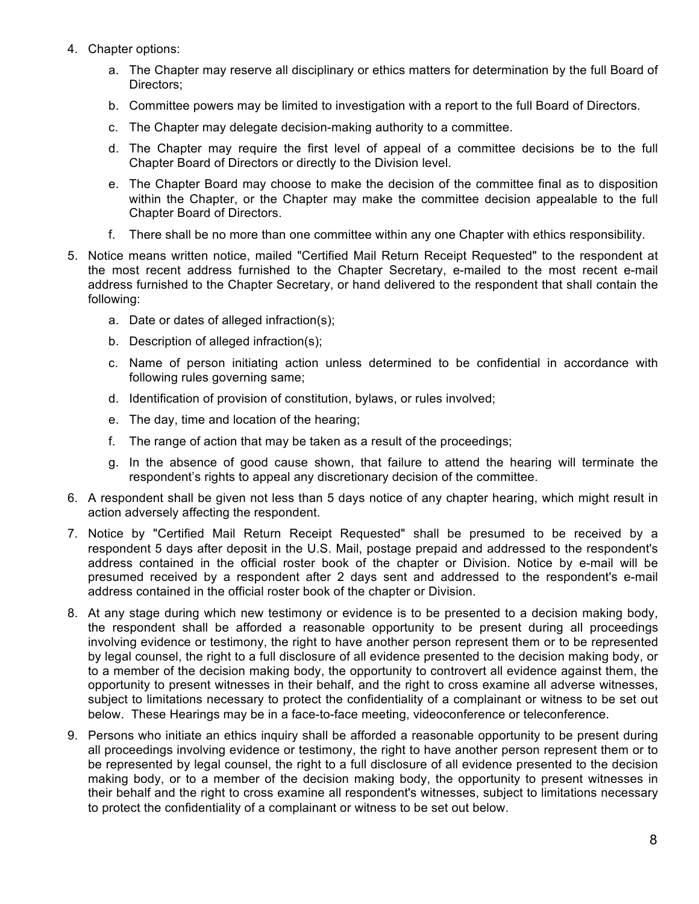- 4. Chapter options:
	- a. The Chapter may reserve all disciplinary or ethics matters for determination by the full Board of Directors;
	- b. Committee powers may be limited to investigation with a report to the full Board of Directors.
	- c. The Chapter may delegate decision-making authority to a committee.
	- d. The Chapter may require the first level of appeal of a committee decisions be to the full Chapter Board of Directors or directly to the Division level.
	- e. The Chapter Board may choose to make the decision of the committee final as to disposition within the Chapter, or the Chapter may make the committee decision appealable to the full Chapter Board of Directors.
	- f. There shall be no more than one committee within any one Chapter with ethics responsibility.
- 5. Notice means written notice, mailed "Certified Mail Return Receipt Requested" to the respondent at the most recent address furnished to the Chapter Secretary, e-mailed to the most recent e-mail address furnished to the Chapter Secretary, or hand delivered to the respondent that shall contain the following:
	- a. Date or dates of alleged infraction(s);
	- b. Description of alleged infraction(s);
	- c. Name of person initiating action unless determined to be confidential in accordance with following rules governing same;
	- d. Identification of provision of constitution, bylaws, or rules involved;
	- e. The day, time and location of the hearing;
	- f. The range of action that may be taken as a result of the proceedings;
	- g. In the absence of good cause shown, that failure to attend the hearing will terminate the respondent's rights to appeal any discretionary decision of the committee.
- 6. A respondent shall be given not less than 5 days notice of any chapter hearing, which might result in action adversely affecting the respondent.
- 7. Notice by "Certified Mail Return Receipt Requested" shall be presumed to be received by a respondent 5 days after deposit in the U.S. Mail, postage prepaid and addressed to the respondent's address contained in the official roster book of the chapter or Division. Notice by e-mail will be presumed received by a respondent after 2 days sent and addressed to the respondent's e-mail address contained in the official roster book of the chapter or Division.
- 8. At any stage during which new testimony or evidence is to be presented to a decision making body, the respondent shall be afforded a reasonable opportunity to be present during all proceedings involving evidence or testimony, the right to have another person represent them or to be represented by legal counsel, the right to a full disclosure of all evidence presented to the decision making body, or to a member of the decision making body, the opportunity to controvert all evidence against them, the opportunity to present witnesses in their behalf, and the right to cross examine all adverse witnesses, subject to limitations necessary to protect the confidentiality of a complainant or witness to be set out below. These Hearings may be in a face-to-face meeting, videoconference or teleconference.
- 9. Persons who initiate an ethics inquiry shall be afforded a reasonable opportunity to be present during all proceedings involving evidence or testimony, the right to have another person represent them or to be represented by legal counsel, the right to a full disclosure of all evidence presented to the decision making body, or to a member of the decision making body, the opportunity to present witnesses in their behalf and the right to cross examine all respondent's witnesses, subject to limitations necessary to protect the confidentiality of a complainant or witness to be set out below.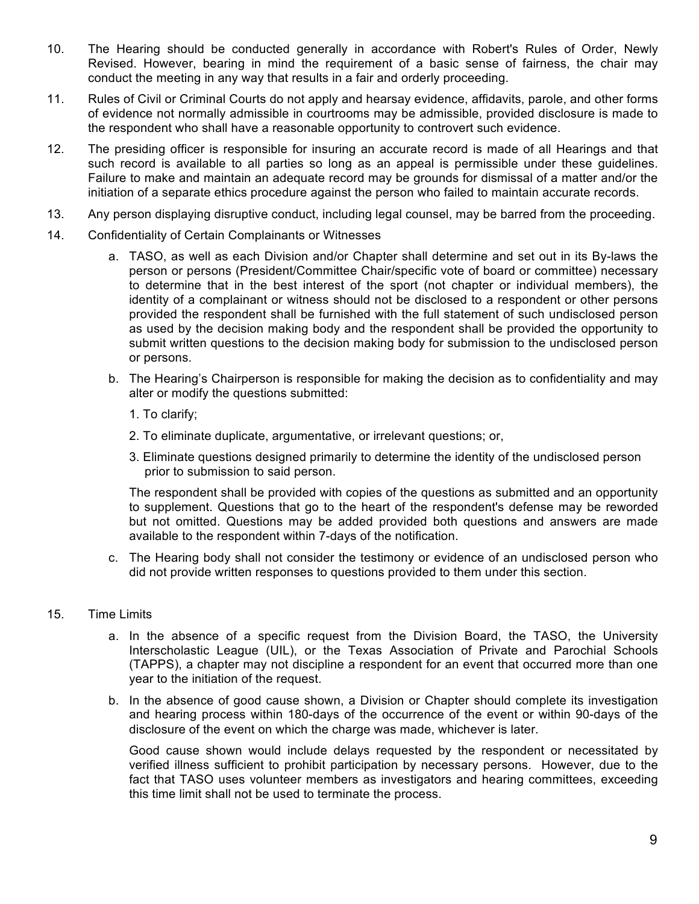- 10. The Hearing should be conducted generally in accordance with Robert's Rules of Order, Newly Revised. However, bearing in mind the requirement of a basic sense of fairness, the chair may conduct the meeting in any way that results in a fair and orderly proceeding.
- 11. Rules of Civil or Criminal Courts do not apply and hearsay evidence, affidavits, parole, and other forms of evidence not normally admissible in courtrooms may be admissible, provided disclosure is made to the respondent who shall have a reasonable opportunity to controvert such evidence.
- 12. The presiding officer is responsible for insuring an accurate record is made of all Hearings and that such record is available to all parties so long as an appeal is permissible under these guidelines. Failure to make and maintain an adequate record may be grounds for dismissal of a matter and/or the initiation of a separate ethics procedure against the person who failed to maintain accurate records.
- 13. Any person displaying disruptive conduct, including legal counsel, may be barred from the proceeding.
- 14. Confidentiality of Certain Complainants or Witnesses
	- a. TASO, as well as each Division and/or Chapter shall determine and set out in its By-laws the person or persons (President/Committee Chair/specific vote of board or committee) necessary to determine that in the best interest of the sport (not chapter or individual members), the identity of a complainant or witness should not be disclosed to a respondent or other persons provided the respondent shall be furnished with the full statement of such undisclosed person as used by the decision making body and the respondent shall be provided the opportunity to submit written questions to the decision making body for submission to the undisclosed person or persons.
	- b. The Hearing's Chairperson is responsible for making the decision as to confidentiality and may alter or modify the questions submitted:
		- 1. To clarify;
		- 2. To eliminate duplicate, argumentative, or irrelevant questions; or,
		- 3. Eliminate questions designed primarily to determine the identity of the undisclosed person prior to submission to said person.

The respondent shall be provided with copies of the questions as submitted and an opportunity to supplement. Questions that go to the heart of the respondent's defense may be reworded but not omitted. Questions may be added provided both questions and answers are made available to the respondent within 7-days of the notification.

c. The Hearing body shall not consider the testimony or evidence of an undisclosed person who did not provide written responses to questions provided to them under this section.

#### 15. Time Limits

- a. In the absence of a specific request from the Division Board, the TASO, the University Interscholastic League (UIL), or the Texas Association of Private and Parochial Schools (TAPPS), a chapter may not discipline a respondent for an event that occurred more than one year to the initiation of the request.
- b. In the absence of good cause shown, a Division or Chapter should complete its investigation and hearing process within 180-days of the occurrence of the event or within 90-days of the disclosure of the event on which the charge was made, whichever is later.

Good cause shown would include delays requested by the respondent or necessitated by verified illness sufficient to prohibit participation by necessary persons. However, due to the fact that TASO uses volunteer members as investigators and hearing committees, exceeding this time limit shall not be used to terminate the process.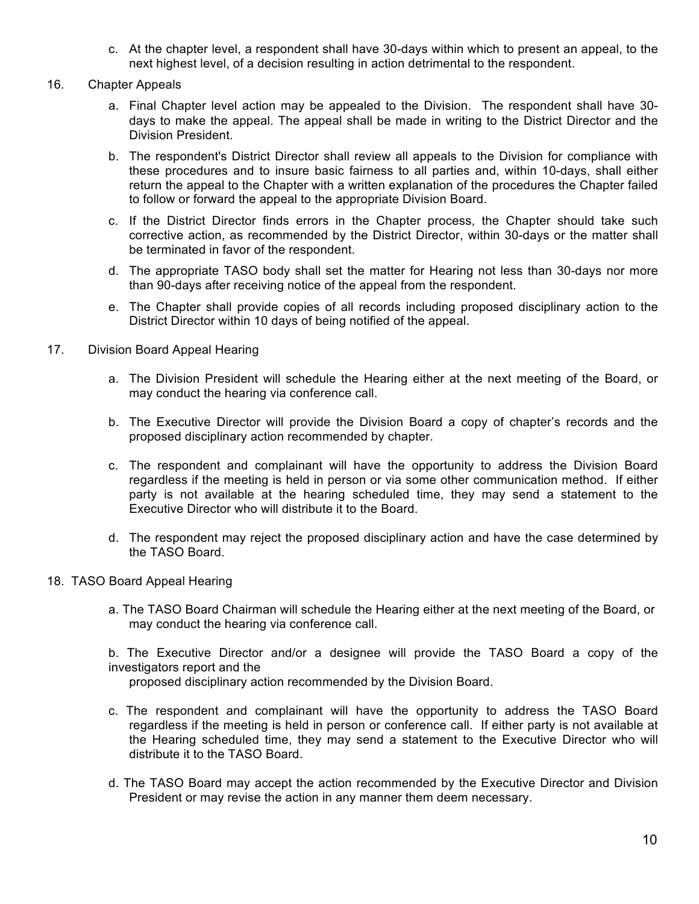- c. At the chapter level, a respondent shall have 30-days within which to present an appeal, to the next highest level, of a decision resulting in action detrimental to the respondent.
- 16. Chapter Appeals
	- a. Final Chapter level action may be appealed to the Division. The respondent shall have 30 days to make the appeal. The appeal shall be made in writing to the District Director and the Division President.
	- b. The respondent's District Director shall review all appeals to the Division for compliance with these procedures and to insure basic fairness to all parties and, within 10-days, shall either return the appeal to the Chapter with a written explanation of the procedures the Chapter failed to follow or forward the appeal to the appropriate Division Board.
	- c. If the District Director finds errors in the Chapter process, the Chapter should take such corrective action, as recommended by the District Director, within 30-days or the matter shall be terminated in favor of the respondent.
	- d. The appropriate TASO body shall set the matter for Hearing not less than 30-days nor more than 90-days after receiving notice of the appeal from the respondent.
	- e. The Chapter shall provide copies of all records including proposed disciplinary action to the District Director within 10 days of being notified of the appeal.
- 17. Division Board Appeal Hearing
	- a. The Division President will schedule the Hearing either at the next meeting of the Board, or may conduct the hearing via conference call.
	- b. The Executive Director will provide the Division Board a copy of chapter's records and the proposed disciplinary action recommended by chapter.
	- c. The respondent and complainant will have the opportunity to address the Division Board regardless if the meeting is held in person or via some other communication method. If either party is not available at the hearing scheduled time, they may send a statement to the Executive Director who will distribute it to the Board.
	- d. The respondent may reject the proposed disciplinary action and have the case determined by the TASO Board.
- 18. TASO Board Appeal Hearing
	- a. The TASO Board Chairman will schedule the Hearing either at the next meeting of the Board, or may conduct the hearing via conference call.

b. The Executive Director and/or a designee will provide the TASO Board a copy of the investigators report and the proposed disciplinary action recommended by the Division Board.

- 
- c. The respondent and complainant will have the opportunity to address the TASO Board regardless if the meeting is held in person or conference call. If either party is not available at the Hearing scheduled time, they may send a statement to the Executive Director who will distribute it to the TASO Board.
- d. The TASO Board may accept the action recommended by the Executive Director and Division President or may revise the action in any manner them deem necessary.